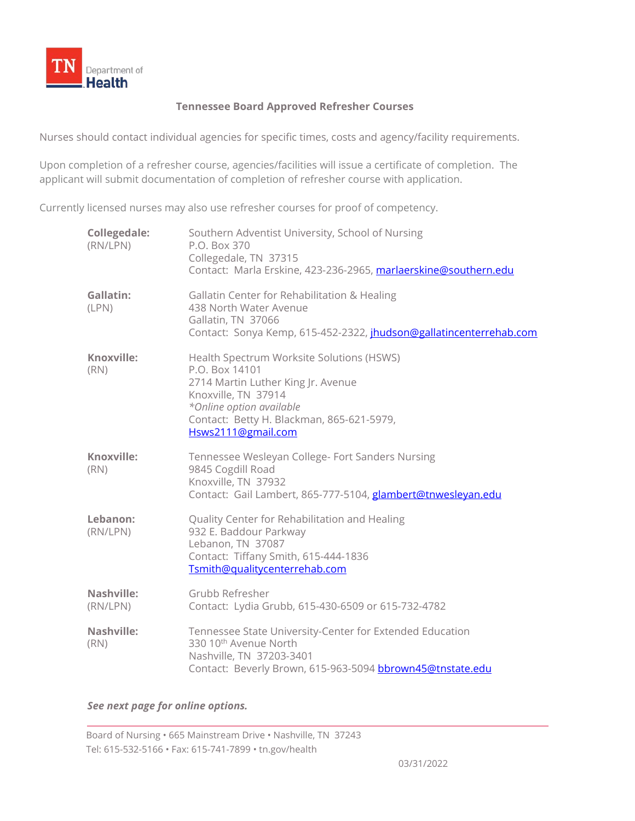

## **Tennessee Board Approved Refresher Courses**

Nurses should contact individual agencies for specific times, costs and agency/facility requirements.

Upon completion of a refresher course, agencies/facilities will issue a certificate of completion. The applicant will submit documentation of completion of refresher course with application.

Currently licensed nurses may also use refresher courses for proof of competency.

| <b>Collegedale:</b><br>(RN/LPN) | Southern Adventist University, School of Nursing<br>P.O. Box 370<br>Collegedale, TN 37315<br>Contact: Marla Erskine, 423-236-2965, marlaerskine@southern.edu                                                            |
|---------------------------------|-------------------------------------------------------------------------------------------------------------------------------------------------------------------------------------------------------------------------|
| Gallatin:<br>(LPN)              | Gallatin Center for Rehabilitation & Healing<br>438 North Water Avenue<br>Gallatin, TN 37066<br>Contact: Sonya Kemp, 615-452-2322, jhudson@gallatincenterrehab.com                                                      |
| Knoxville:<br>(RN)              | Health Spectrum Worksite Solutions (HSWS)<br>P.O. Box 14101<br>2714 Martin Luther King Jr. Avenue<br>Knoxville, TN 37914<br>*Online option available<br>Contact: Betty H. Blackman, 865-621-5979,<br>Hsws2111@gmail.com |
| Knoxville:<br>(RN)              | Tennessee Wesleyan College- Fort Sanders Nursing<br>9845 Cogdill Road<br>Knoxville, TN 37932<br>Contact: Gail Lambert, 865-777-5104, glambert@tnwesleyan.edu                                                            |
| Lebanon:<br>(RN/LPN)            | Quality Center for Rehabilitation and Healing<br>932 E. Baddour Parkway<br>Lebanon, TN 37087<br>Contact: Tiffany Smith, 615-444-1836<br>Tsmith@qualitycenterrehab.com                                                   |
| Nashville:<br>(RN/LPN)          | Grubb Refresher<br>Contact: Lydia Grubb, 615-430-6509 or 615-732-4782                                                                                                                                                   |
| Nashville:<br>(RN)              | Tennessee State University-Center for Extended Education<br>330 10 <sup>th</sup> Avenue North<br>Nashville, TN 37203-3401<br>Contact: Beverly Brown, 615-963-5094 bbrown45@tnstate.edu                                  |

*See next page for online options.*

Board of Nursing • 665 Mainstream Drive • Nashville, TN 37243 Tel: 615-532-5166 • Fax: 615-741-7899 • tn.gov/health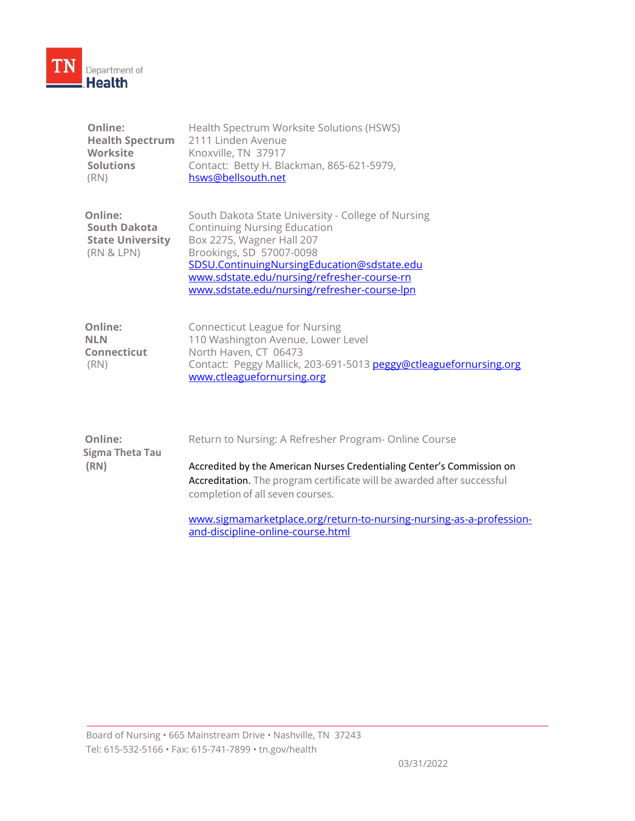

| Online:                | Health Spectrum Worksite Solutions (HSWS) |
|------------------------|-------------------------------------------|
| <b>Health Spectrum</b> | 2111 Linden Avenue                        |
| <b>Worksite</b>        | Knoxville, TN 37917                       |
| <b>Solutions</b>       | Contact: Betty H. Blackman, 865-621-5979, |
| (RN)                   | hsws@bellsouth.net                        |

| <b>Online:</b>          | South Dakota State University - College of Nursing |
|-------------------------|----------------------------------------------------|
| <b>South Dakota</b>     | <b>Continuing Nursing Education</b>                |
| <b>State University</b> | Box 2275, Wagner Hall 207                          |
| (RN & LPN)              | Brookings, SD 57007-0098                           |
|                         | SDSU.ContinuingNursingEducation@sdstate.edu        |
|                         | www.sdstate.edu/nursing/refresher-course-rn        |
|                         | www.sdstate.edu/nursing/refresher-course-lpn       |

| Online:            | Connecticut League for Nursing                                    |
|--------------------|-------------------------------------------------------------------|
| <b>NLN</b>         | 110 Washington Avenue, Lower Level                                |
| <b>Connecticut</b> | North Haven, CT 06473                                             |
| (RN)               | Contact: Peggy Mallick, 203-691-5013 peggy@ctleaguefornursing.org |
|                    | www.ctleaguefornursing.org                                        |

| <b>Online:</b><br>Sigma Theta Tau | Return to Nursing: A Refresher Program- Online Course                                                                                                                                 |
|-----------------------------------|---------------------------------------------------------------------------------------------------------------------------------------------------------------------------------------|
| (RN)                              | Accredited by the American Nurses Credentialing Center's Commission on<br>Accreditation. The program certificate will be awarded after successful<br>completion of all seven courses. |
|                                   | www.sigmamarketplace.org/return-to-nursing-nursing-as-a-profession-<br>and-discipline-online-course.html                                                                              |